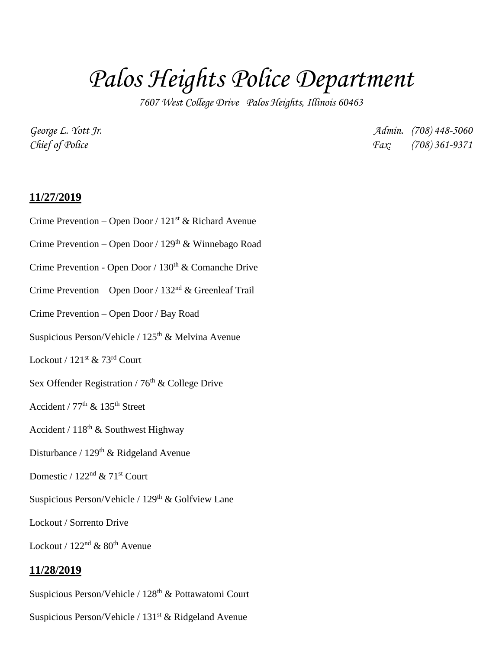# *Palos Heights Police Department*

*7607 West College Drive Palos Heights, Illinois 60463*

*George L. Yott Jr. Admin. (708) 448-5060 Chief of Police Fax: (708) 361-9371*

## **11/27/2019**

- Crime Prevention Open Door / 121<sup>st</sup> & Richard Avenue
- Crime Prevention Open Door / 129th & Winnebago Road
- Crime Prevention Open Door / 130<sup>th</sup> & Comanche Drive
- Crime Prevention Open Door / 132nd & Greenleaf Trail
- Crime Prevention Open Door / Bay Road
- Suspicious Person/Vehicle / 125<sup>th</sup> & Melvina Avenue
- Lockout /  $121^{st}$  & 73<sup>rd</sup> Court
- Sex Offender Registration /  $76<sup>th</sup>$  & College Drive
- Accident /  $77<sup>th</sup>$  &  $135<sup>th</sup>$  Street
- Accident /  $118^{th}$  & Southwest Highway
- Disturbance / 129<sup>th</sup> & Ridgeland Avenue
- Domestic /  $122<sup>nd</sup>$  &  $71<sup>st</sup>$  Court
- Suspicious Person/Vehicle / 129<sup>th</sup> & Golfview Lane
- Lockout / Sorrento Drive

Lockout /  $122<sup>nd</sup>$  &  $80<sup>th</sup>$  Avenue

#### **11/28/2019**

Suspicious Person/Vehicle / 128<sup>th</sup> & Pottawatomi Court

Suspicious Person/Vehicle /  $131<sup>st</sup>$  & Ridgeland Avenue